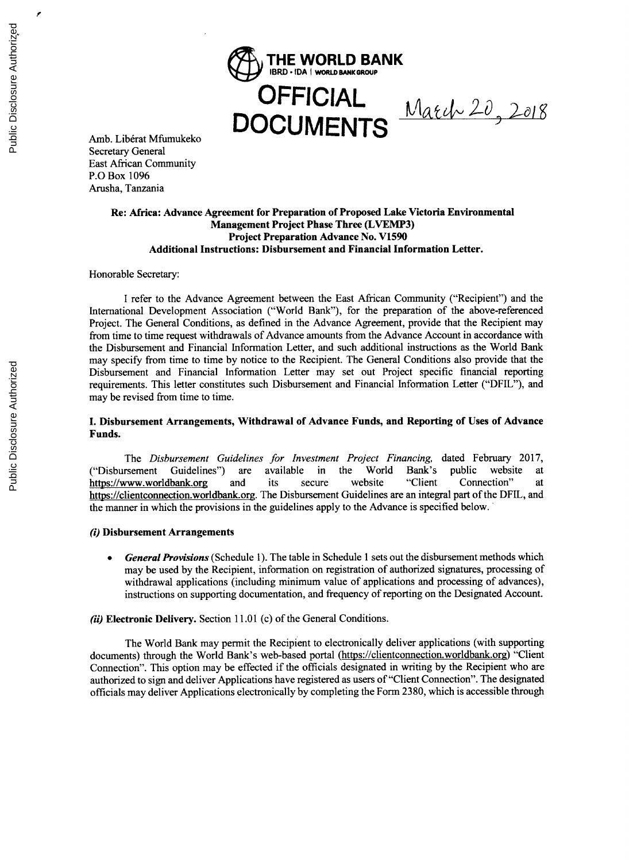

Amb. Libérat Mfumukeko Secretary General East African Community P.0 Box **1096** Arusha, Tanzania

### **Re: Africa: Advance Agreement for Preparation of Proposed Lake Victoria Environmental Management Project Phase Three (LVEMP3) Project Preparation Advance** No. **V1590 Additional Instructions: Disbursement and Financial Information Letter.**

Honorable Secretary:

**I** refer to the Advance Agreement between the East African Community ("Recipient") and the International Development Association ("World Bank"), for the preparation of the above-referenced Project. The General Conditions, as defined in the Advance Agreement, provide that the Recipient may from time to time request withdrawals of Advance amounts from the Advance Account in accordance with the Disbursement and Financial Information Letter, and such additional instructions as the World Bank may specify from time to time **by** notice to the Recipient. The General Conditions also provide that the Disbursement and Financial Information Letter may set out Project specific financial reporting requirements. This letter constitutes such Disbursement and Financial Information Letter ("DFIL"), and may be revised from time to time.

### **I. Disbursement Arrangements, Withdrawal of Advance Funds, and Reporting of Uses of Advance Funds.**

*The Disbursement Guidelines for Investment Project Financing,* dated February **2017,** ("Disbursement Guidelines") are available in the World Bank's public website at https://www.worldbank.org and its secure website "Client Connection" at https://clientconnection.worldbank.org. The Disbursement Guidelines are an integral part of the DFIL, and the manner in which the provisions in the guidelines apply to the Advance is specified below.

#### *(i)* **Disbursement Arrangements**

*General Provisions* (Schedule 1). The table in Schedule 1 sets out the disbursement methods which may be used **by** the Recipient, information on registration of authorized signatures, processing of withdrawal applications (including minimum value of applications and processing of advances), instructions on supporting documentation, and frequency of reporting on the Designated Account.

#### *(ii)* **Electronic Delivery.** Section **11.01** (c) of the General Conditions.

The World Bank may permit the Recipient to electronically deliver applications (with supporting documents) through the World Bank's web-based portal (https://clientconnection.worldbank.org) "Client Connection". This option may be effected if the officials designated in writing **by** the Recipient who are authorized to sign and deliver Applications have registered as users of "Client Connection". The designated officials may deliver Applications electronically **by** completing the Form **2380,** which is accessible through

z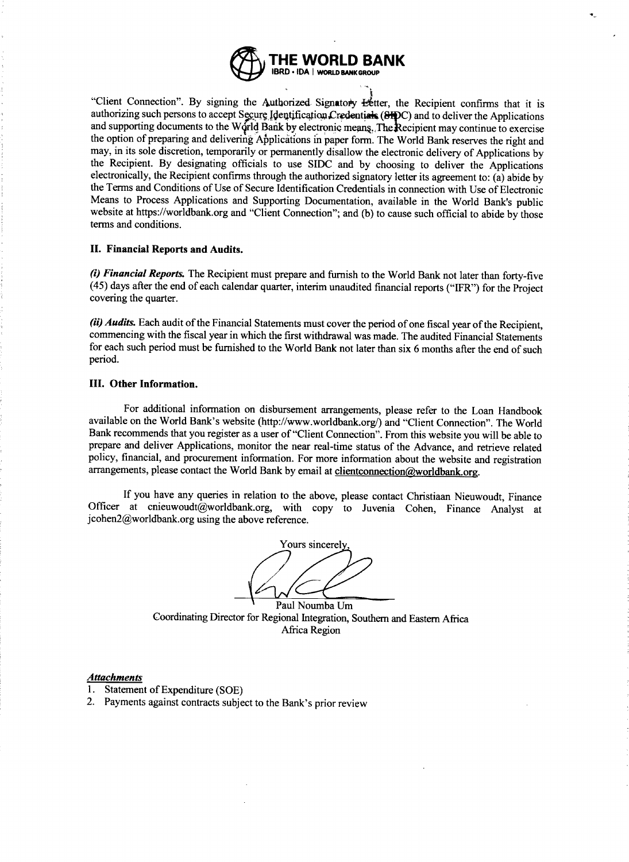

"Client Connection". By signing the Authorized Signatory Eetter, the Recipient confirms that it is authorizing such persons to accept Secure Identification Credentials (SHPC) and to deliver the Applications and supporting the option of preparing and delivering Applications in paper form. The World Bank reserves the right and may, in its sole discretion, temporarily or permanently disallow the electronic delivery of Applications by the Recipient. By designating officials to use SIDC and by choosing to deliver the Applications<br>electronically, the Recipient confirms through the authorized signatory letter its agreement to: (a) abide by<br>the Terms and Co website at https://worldbank.org and "Client Connection"; and (b) to cause such official to abide by those terms and conditions.

#### **II. Financial Reports and Audits.**

(i) Financial Reports. The Recipient must prepare and furnish to the World Bank not later than forty-five  $(45)$  days after the end of each calendar quarter, interim unaudited financial reports ("IFR") for the Project cov

*(ii) Audits.* Each audit of the Financial Statements must cover the period of one fiscal year of the Recipient, commencing with the fiscal year in which the first withdrawal was made. The audited Financial Statements for each such period must be furnished to the World Bank not later than six **6** months after the end of such period.

#### **III. Other Information.**

For additional information on disbursement arrangements, please refer to the Loan Handbook available on the World Bank's website (http://www.worldbank.org/) and "Client Connection". The World Bank recommends that you register as a user of "Client Connection". From this website you will be able to prepare and deliver Applications, monitor the near real-time status of the Advance, and retrieve related policy, financial, and procurement information. For more information about the website and registration arrangements, please contact the World Bank by email at clientconnection@worldbank.org.

**If** you have any queries in relation to the above, please contact Christiaan Nieuwoudt, Finance Officer at cnieuwoudt@worldbank.org, with copy to Juvenia Cohen, Finance Analyst at jcohen2@worldbank.org using the above reference.

Yours sincerel

Paul Noumba Um Coordinating Director for Regional Integration, Southern and Eastern Africa Africa Region

#### *Attachments*

- **1.** Statement of Expenditure **(SOE)**
- 2. Payments against contracts subject to the Bank's prior review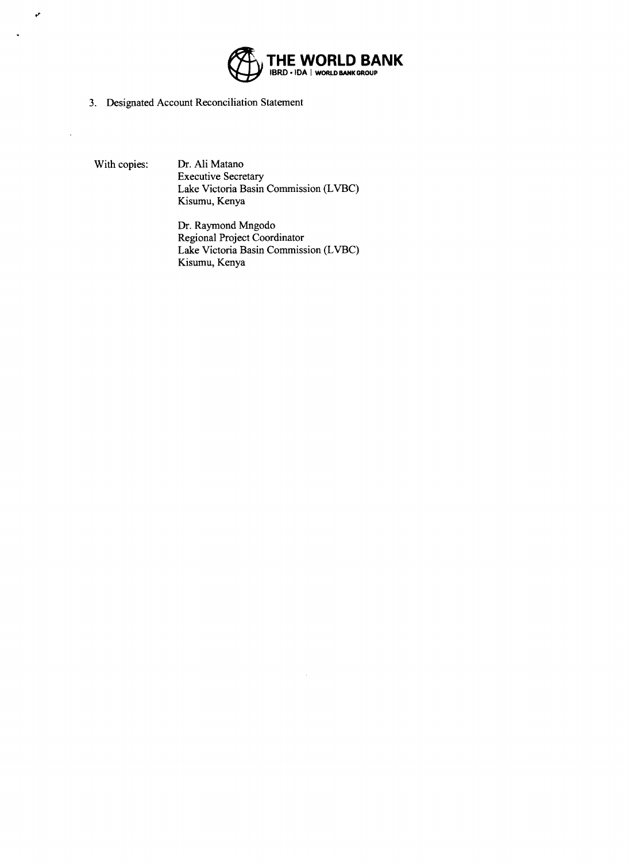

**3.** Designated Account Reconciliation Statement

 $\boldsymbol{r}$ 

 $\overline{a}$ 

With copies: Dr. Ali Matano Executive Secretary Lake Victoria Basin Commission (LVBC) Kisumu, Kenya

> Dr. Raymond Mngodo Regional Project Coordinator Lake Victoria Basin Commission (LVBC) Kisumu, Kenya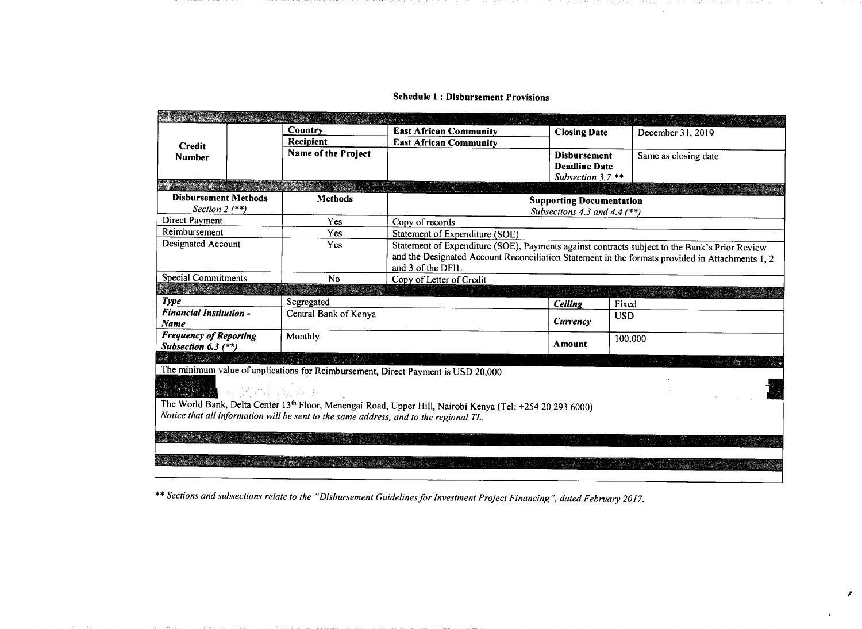|                                                                                                                                                                                                    |                                          |                                                                                                 | <b>Closing Date</b>                                                                           |                      |  |  |  |
|----------------------------------------------------------------------------------------------------------------------------------------------------------------------------------------------------|------------------------------------------|-------------------------------------------------------------------------------------------------|-----------------------------------------------------------------------------------------------|----------------------|--|--|--|
|                                                                                                                                                                                                    | Country                                  | <b>East African Community</b>                                                                   |                                                                                               | December 31, 2019    |  |  |  |
| <b>Credit</b>                                                                                                                                                                                      | Recipient                                | <b>East African Community</b>                                                                   |                                                                                               |                      |  |  |  |
| <b>Number</b>                                                                                                                                                                                      | Name of the Project                      |                                                                                                 | <b>Disbursement</b>                                                                           | Same as closing date |  |  |  |
|                                                                                                                                                                                                    |                                          |                                                                                                 | <b>Deadline Date</b>                                                                          |                      |  |  |  |
|                                                                                                                                                                                                    |                                          |                                                                                                 | Subsection 3.7 **                                                                             |                      |  |  |  |
| <b>Disbursement Methods</b>                                                                                                                                                                        | STRASS DATE TO THE STR<br><b>Methods</b> |                                                                                                 |                                                                                               |                      |  |  |  |
| Section $2$ (**)                                                                                                                                                                                   |                                          | <b>Supporting Documentation</b><br>Subsections 4.3 and 4.4 $(**)$                               |                                                                                               |                      |  |  |  |
| Direct Payment                                                                                                                                                                                     | Yes                                      | Copy of records                                                                                 |                                                                                               |                      |  |  |  |
| Reimbursement                                                                                                                                                                                      | Yes                                      | Statement of Expenditure (SOE)                                                                  |                                                                                               |                      |  |  |  |
| Designated Account                                                                                                                                                                                 | Yes                                      |                                                                                                 | Statement of Expenditure (SOE), Payments against contracts subject to the Bank's Prior Review |                      |  |  |  |
|                                                                                                                                                                                                    |                                          | and the Designated Account Reconciliation Statement in the formats provided in Attachments 1, 2 |                                                                                               |                      |  |  |  |
|                                                                                                                                                                                                    |                                          | and 3 of the DFIL                                                                               |                                                                                               |                      |  |  |  |
| <b>Special Commitments</b>                                                                                                                                                                         | No                                       | Copy of Letter of Credit                                                                        |                                                                                               |                      |  |  |  |
|                                                                                                                                                                                                    |                                          |                                                                                                 |                                                                                               |                      |  |  |  |
| Type                                                                                                                                                                                               | Segregated                               |                                                                                                 | Ceiling                                                                                       | Fixed                |  |  |  |
| <b>Financial Institution -</b>                                                                                                                                                                     | Central Bank of Kenya                    |                                                                                                 |                                                                                               | <b>USD</b>           |  |  |  |
| <b>Name</b>                                                                                                                                                                                        |                                          |                                                                                                 | Currency                                                                                      |                      |  |  |  |
| <b>Frequency of Reporting</b>                                                                                                                                                                      | Monthly                                  |                                                                                                 |                                                                                               | 100,000              |  |  |  |
| Subsection $6.3$ (**)                                                                                                                                                                              |                                          |                                                                                                 | Amount                                                                                        |                      |  |  |  |
| 1998 - Marie Alexandro III (m. 1989)                                                                                                                                                               |                                          |                                                                                                 |                                                                                               |                      |  |  |  |
|                                                                                                                                                                                                    |                                          | The minimum value of applications for Reimbursement, Direct Payment is USD 20,000               |                                                                                               |                      |  |  |  |
|                                                                                                                                                                                                    |                                          |                                                                                                 |                                                                                               |                      |  |  |  |
| 医反射病 党运动员                                                                                                                                                                                          |                                          |                                                                                                 |                                                                                               |                      |  |  |  |
| The World Bank, Delta Center 13th Floor, Menengai Road, Upper Hill, Nairobi Kenya (Tel: +254 20 293 6000)<br>Notice that all information will be sent to the same address, and to the regional TL. |                                          |                                                                                                 |                                                                                               |                      |  |  |  |
|                                                                                                                                                                                                    |                                          |                                                                                                 |                                                                                               |                      |  |  |  |
|                                                                                                                                                                                                    |                                          |                                                                                                 |                                                                                               |                      |  |  |  |
|                                                                                                                                                                                                    |                                          |                                                                                                 |                                                                                               |                      |  |  |  |
|                                                                                                                                                                                                    |                                          |                                                                                                 |                                                                                               |                      |  |  |  |
|                                                                                                                                                                                                    |                                          |                                                                                                 |                                                                                               |                      |  |  |  |

 $\mathcal{L}$ 

\*\* *Sections and subsections relate to the "Disbursement Guidelines for Investment Project Financing", dated February 2017.*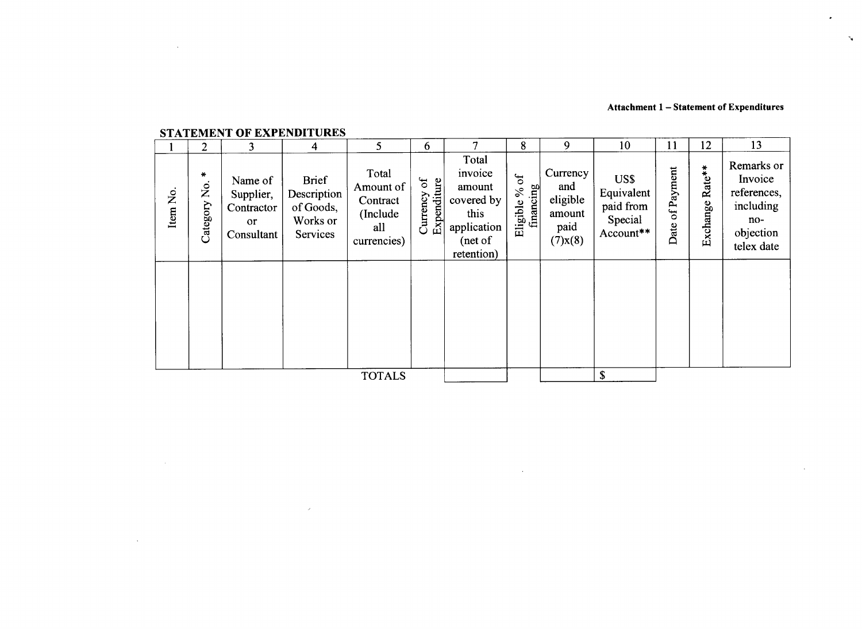## **Attachment 1 - Statement of Expenditures**

 $\mathbf{v}_\mathrm{c}$ 

 $\sim$ 

# **STATEMENT OF EXPENDITURES**

 $\mathcal{L}$ 

 $\sim 10^{-1}$ 

 $\mathcal{L}^{\text{max}}_{\text{max}}$  and  $\mathcal{L}^{\text{max}}_{\text{max}}$ 

 $\sim 10^7$ 

|          | $\overline{2}$      | 3                                                                 | 4                                                                | 5                                                                | 6                                   | 7                                                                                        | 8                                         | 9                                                              | 10                                                      | 11                 | 12                     | 13                                                                                  |
|----------|---------------------|-------------------------------------------------------------------|------------------------------------------------------------------|------------------------------------------------------------------|-------------------------------------|------------------------------------------------------------------------------------------|-------------------------------------------|----------------------------------------------------------------|---------------------------------------------------------|--------------------|------------------------|-------------------------------------------------------------------------------------|
| Item No. | ₩<br>Ż.<br>Category | Name of<br>Supplier,<br>Contractor<br><sub>or</sub><br>Consultant | <b>Brief</b><br>Description<br>of Goods,<br>Works or<br>Services | Total<br>Amount of<br>Contract<br>(Include<br>all<br>currencies) | $\sigma$<br>Expenditure<br>Currency | Total<br>invoice<br>amount<br>covered by<br>this<br>application<br>(net of<br>retention) | $\sigma$<br>financing<br>$\%$<br>Eligible | Currency<br>and<br>eligible<br>amount<br>paid<br>$(7)$ x $(8)$ | US\$<br>Equivalent<br>paid from<br>Special<br>Account** | of Payment<br>Date | Rate**<br>xchange<br>凹 | Remarks or<br>Invoice<br>references,<br>including<br>no-<br>objection<br>telex date |
|          |                     |                                                                   |                                                                  |                                                                  |                                     |                                                                                          |                                           |                                                                |                                                         |                    |                        |                                                                                     |
|          |                     |                                                                   |                                                                  | <b>TOTALS</b>                                                    |                                     |                                                                                          |                                           |                                                                | \$                                                      |                    |                        |                                                                                     |

 $\sim 10^{11}$  km s  $^{-1}$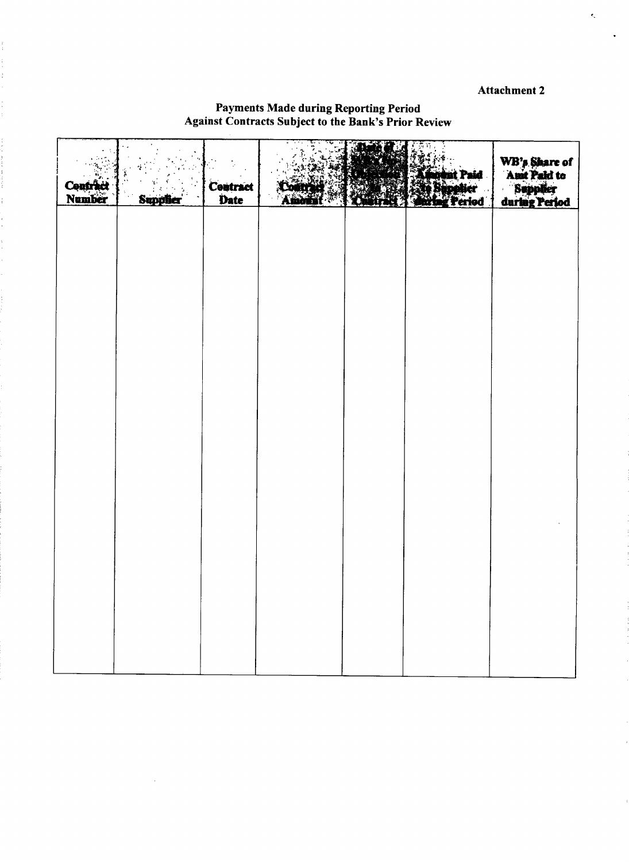# Attachment 2

 $\epsilon_{\rm s}$ 

# Payments Made during Reporting Period Against Contracts Subject to the Bank's Prior Review

 $\frac{1}{2}$ 

 $\frac{1}{2}$ 

医皮肤病 医阿拉伯氏试验检尿

ł.

| Contract<br>Number | <b>Supplier</b> | Contract<br>Date | <b>Comment</b><br>Amora | itr<br>7. W | <b>Affaire</b> nt Paid<br><b>Altantier</b><br><b>Antigureried</b> | WB's Share of<br>Amt Paid to<br>Supplier<br>during Period |
|--------------------|-----------------|------------------|-------------------------|-------------|-------------------------------------------------------------------|-----------------------------------------------------------|
|                    |                 |                  |                         |             |                                                                   |                                                           |
|                    |                 |                  |                         |             |                                                                   |                                                           |
|                    |                 |                  |                         |             |                                                                   |                                                           |
|                    |                 |                  |                         |             |                                                                   |                                                           |
|                    |                 |                  |                         |             |                                                                   |                                                           |
|                    |                 |                  |                         |             |                                                                   |                                                           |
|                    |                 |                  |                         |             |                                                                   |                                                           |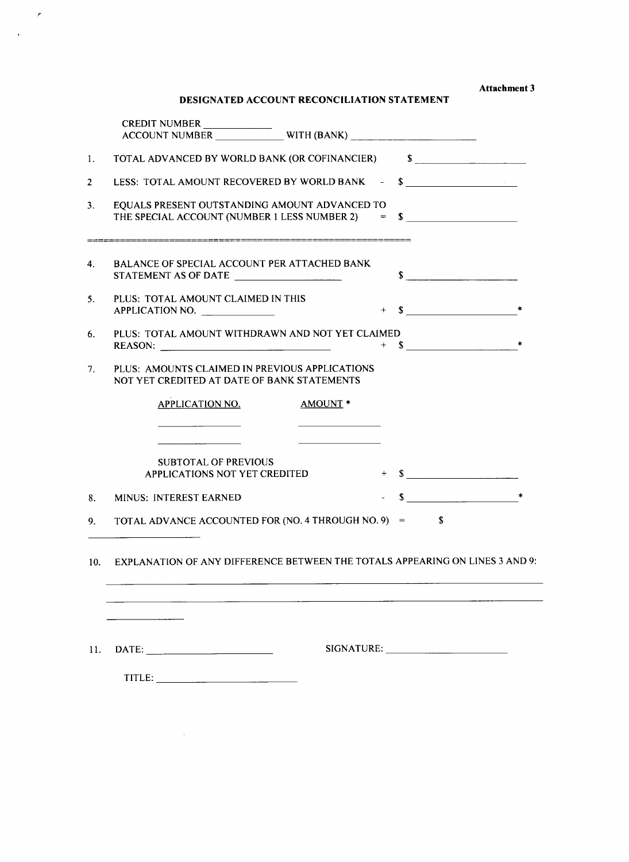**Attachment 3**

# **DESIGNATED ACCOUNT RECONCILIATION STATEMENT**

 $\mathcal{L}$ 

 $\sim$   $\sim$ 

|                | <b>CREDIT NUMBER</b>                                                                                          |                |
|----------------|---------------------------------------------------------------------------------------------------------------|----------------|
| 1.             | TOTAL ADVANCED BY WORLD BANK (OR COFINANCIER) \$                                                              |                |
| $\overline{2}$ | LESS: TOTAL AMOUNT RECOVERED BY WORLD BANK -                                                                  | $\sim$         |
| 3.             | EQUALS PRESENT OUTSTANDING AMOUNT ADVANCED TO<br>THE SPECIAL ACCOUNT (NUMBER 1 LESS NUMBER 2) = $\frac{1}{2}$ |                |
| 4.             | BALANCE OF SPECIAL ACCOUNT PER ATTACHED BANK<br>STATEMENT AS OF DATE                                          | s              |
| 5.             | PLUS: TOTAL AMOUNT CLAIMED IN THIS<br>APPLICATION NO.                                                         | $+$ \$         |
| 6.             | PLUS: TOTAL AMOUNT WITHDRAWN AND NOT YET CLAIMED                                                              | $s$ $*$<br>$+$ |
| 7.             | PLUS: AMOUNTS CLAIMED IN PREVIOUS APPLICATIONS<br>NOT YET CREDITED AT DATE OF BANK STATEMENTS                 |                |
|                | <b>APPLICATION NO.</b><br>AMOUNT <sup>*</sup>                                                                 |                |
|                | <b>SUBTOTAL OF PREVIOUS</b><br>APPLICATIONS NOT YET CREDITED                                                  | $+$ \$         |
| 8.             | <b>MINUS: INTEREST EARNED</b>                                                                                 | $s$ $*$        |
| 9.             | TOTAL ADVANCE ACCOUNTED FOR (NO. 4 THROUGH NO. 9) $=$                                                         | S              |
| 10.            | EXPLANATION OF ANY DIFFERENCE BETWEEN THE TOTALS APPEARING ON LINES 3 AND 9:                                  |                |
|                | <u> 1980 - Johann Barn, amerikansk politiker (</u>                                                            |                |
| 11.            | $\text{DATE:}$                                                                                                |                |
|                |                                                                                                               |                |

 $\mathcal{L}^{\text{max}}_{\text{max}}$